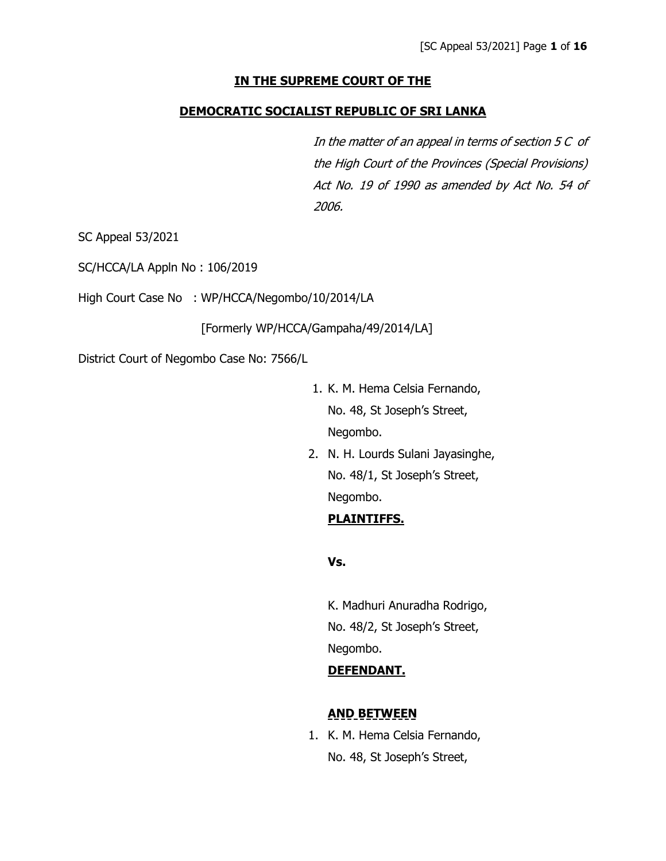## **IN THE SUPREME COURT OF THE**

#### **DEMOCRATIC SOCIALIST REPUBLIC OF SRI LANKA**

In the matter of an appeal in terms of section 5 C of the High Court of the Provinces (Special Provisions) Act No. 19 of 1990 as amended by Act No. 54 of 2006.

SC Appeal 53/2021

SC/HCCA/LA Appln No : 106/2019

High Court Case No : WP/HCCA/Negombo/10/2014/LA

[Formerly WP/HCCA/Gampaha/49/2014/LA]

District Court of Negombo Case No: 7566/L

- 1. K. M. Hema Celsia Fernando, No. 48, St Joseph's Street, Negombo.
- 2. N. H. Lourds Sulani Jayasinghe, No. 48/1, St Joseph's Street, Negombo.

# **PLAINTIFFS.**

**Vs.**

K. Madhuri Anuradha Rodrigo, No. 48/2, St Joseph's Street, Negombo.

## **DEFENDANT.**

## **AND BETWEEN**

1. K. M. Hema Celsia Fernando, No. 48, St Joseph's Street,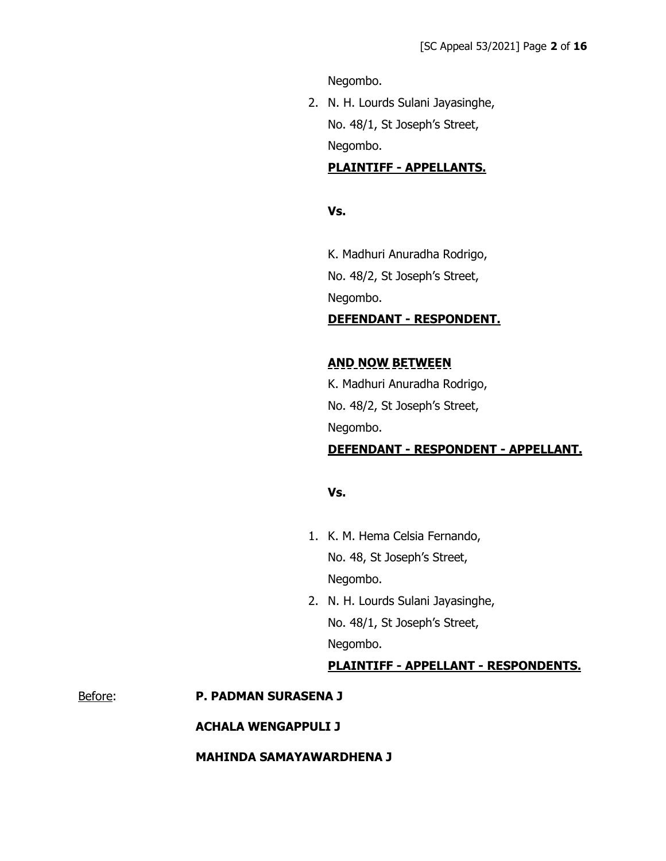Negombo.

2. N. H. Lourds Sulani Jayasinghe, No. 48/1, St Joseph's Street, Negombo.

# **PLAINTIFF - APPELLANTS.**

#### **Vs.**

K. Madhuri Anuradha Rodrigo, No. 48/2, St Joseph's Street, Negombo.

## **DEFENDANT - RESPONDENT.**

# **AND NOW BETWEEN**

K. Madhuri Anuradha Rodrigo, No. 48/2, St Joseph's Street, Negombo.

# **DEFENDANT - RESPONDENT - APPELLANT.**

## **Vs.**

- 1. K. M. Hema Celsia Fernando, No. 48, St Joseph's Street, Negombo.
- 2. N. H. Lourds Sulani Jayasinghe, No. 48/1, St Joseph's Street, Negombo.

#### **PLAINTIFF - APPELLANT - RESPONDENTS.**

#### Before: **P. PADMAN SURASENA J**

#### **ACHALA WENGAPPULI J**

#### **MAHINDA SAMAYAWARDHENA J**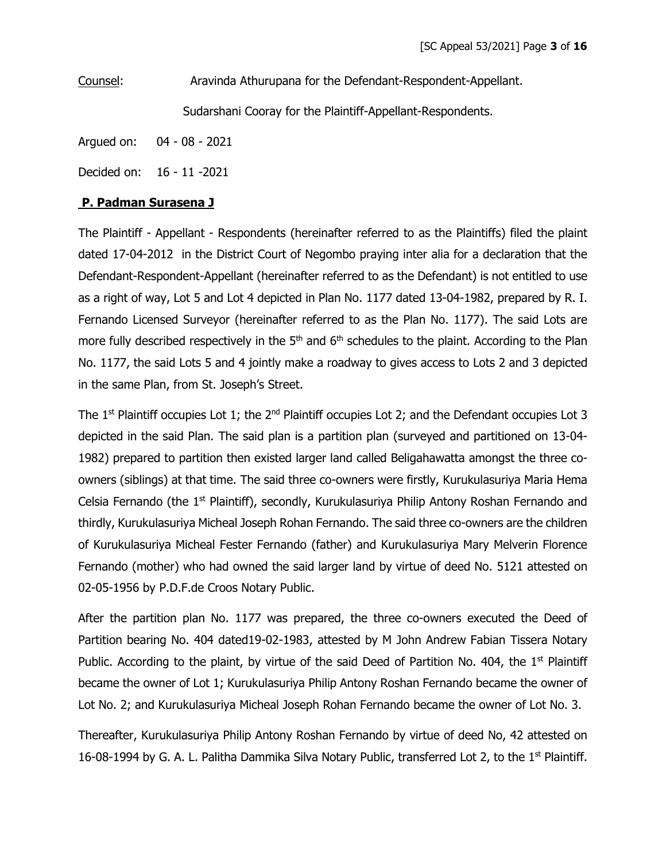Counsel: Aravinda Athurupana for the Defendant-Respondent-Appellant. Sudarshani Cooray for the Plaintiff-Appellant-Respondents.

Argued on: 04 - 08 - 2021

Decided on: 16 - 11 -2021

#### **P. Padman Surasena J**

The Plaintiff - Appellant - Respondents (hereinafter referred to as the Plaintiffs) filed the plaint dated 17-04-2012 in the District Court of Negombo praying inter alia for a declaration that the Defendant-Respondent-Appellant (hereinafter referred to as the Defendant) is not entitled to use as a right of way, Lot 5 and Lot 4 depicted in Plan No. 1177 dated 13-04-1982, prepared by R. I. Fernando Licensed Surveyor (hereinafter referred to as the Plan No. 1177). The said Lots are more fully described respectively in the  $5<sup>th</sup>$  and  $6<sup>th</sup>$  schedules to the plaint. According to the Plan No. 1177, the said Lots 5 and 4 jointly make a roadway to gives access to Lots 2 and 3 depicted in the same Plan, from St. Joseph's Street.

The  $1<sup>st</sup>$  Plaintiff occupies Lot 1; the  $2<sup>nd</sup>$  Plaintiff occupies Lot 2; and the Defendant occupies Lot 3 depicted in the said Plan. The said plan is a partition plan (surveyed and partitioned on 13-04- 1982) prepared to partition then existed larger land called Beligahawatta amongst the three coowners (siblings) at that time. The said three co-owners were firstly, Kurukulasuriya Maria Hema Celsia Fernando (the 1<sup>st</sup> Plaintiff), secondly, Kurukulasuriya Philip Antony Roshan Fernando and thirdly, Kurukulasuriya Micheal Joseph Rohan Fernando. The said three co-owners are the children of Kurukulasuriya Micheal Fester Fernando (father) and Kurukulasuriya Mary Melverin Florence Fernando (mother) who had owned the said larger land by virtue of deed No. 5121 attested on 02-05-1956 by P.D.F.de Croos Notary Public.

After the partition plan No. 1177 was prepared, the three co-owners executed the Deed of Partition bearing No. 404 dated19-02-1983, attested by M John Andrew Fabian Tissera Notary Public. According to the plaint, by virtue of the said Deed of Partition No. 404, the  $1<sup>st</sup>$  Plaintiff became the owner of Lot 1; Kurukulasuriya Philip Antony Roshan Fernando became the owner of Lot No. 2; and Kurukulasuriya Micheal Joseph Rohan Fernando became the owner of Lot No. 3.

Thereafter, Kurukulasuriya Philip Antony Roshan Fernando by virtue of deed No, 42 attested on 16-08-1994 by G. A. L. Palitha Dammika Silva Notary Public, transferred Lot 2, to the  $1<sup>st</sup>$  Plaintiff.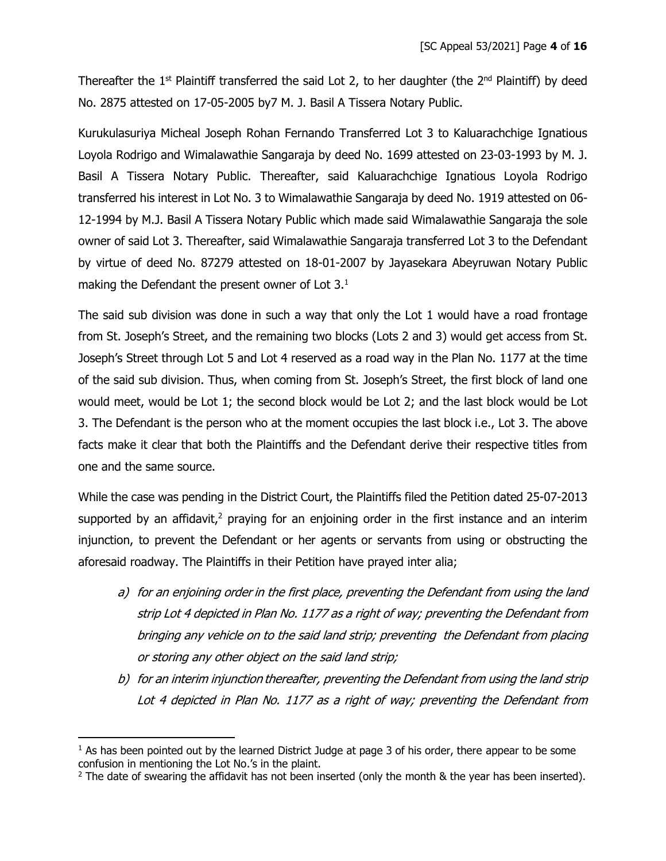Thereafter the  $1<sup>st</sup>$  Plaintiff transferred the said Lot 2, to her daughter (the  $2<sup>nd</sup>$  Plaintiff) by deed No. 2875 attested on 17-05-2005 by7 M. J. Basil A Tissera Notary Public.

Kurukulasuriya Micheal Joseph Rohan Fernando Transferred Lot 3 to Kaluarachchige Ignatious Loyola Rodrigo and Wimalawathie Sangaraja by deed No. 1699 attested on 23-03-1993 by M. J. Basil A Tissera Notary Public. Thereafter, said Kaluarachchige Ignatious Loyola Rodrigo transferred his interest in Lot No. 3 to Wimalawathie Sangaraja by deed No. 1919 attested on 06- 12-1994 by M.J. Basil A Tissera Notary Public which made said Wimalawathie Sangaraja the sole owner of said Lot 3. Thereafter, said Wimalawathie Sangaraja transferred Lot 3 to the Defendant by virtue of deed No. 87279 attested on 18-01-2007 by Jayasekara Abeyruwan Notary Public making the Defendant the present owner of Lot 3.<sup>1</sup>

The said sub division was done in such a way that only the Lot 1 would have a road frontage from St. Joseph's Street, and the remaining two blocks (Lots 2 and 3) would get access from St. Joseph's Street through Lot 5 and Lot 4 reserved as a road way in the Plan No. 1177 at the time of the said sub division. Thus, when coming from St. Joseph's Street, the first block of land one would meet, would be Lot 1; the second block would be Lot 2; and the last block would be Lot 3. The Defendant is the person who at the moment occupies the last block i.e., Lot 3. The above facts make it clear that both the Plaintiffs and the Defendant derive their respective titles from one and the same source.

While the case was pending in the District Court, the Plaintiffs filed the Petition dated 25-07-2013 supported by an affidavit,<sup>2</sup> praying for an enjoining order in the first instance and an interim injunction, to prevent the Defendant or her agents or servants from using or obstructing the aforesaid roadway. The Plaintiffs in their Petition have prayed inter alia;

- a) for an enjoining order in the first place, preventing the Defendant from using the land strip Lot 4 depicted in Plan No. 1177 as a right of way; preventing the Defendant from bringing any vehicle on to the said land strip; preventing the Defendant from placing or storing any other object on the said land strip;
- b) for an interim injunction thereafter, preventing the Defendant from using the land strip Lot 4 depicted in Plan No. 1177 as a right of way; preventing the Defendant from

 $<sup>1</sup>$  As has been pointed out by the learned District Judge at page 3 of his order, there appear to be some</sup> confusion in mentioning the Lot No.'s in the plaint.

 $2$  The date of swearing the affidavit has not been inserted (only the month & the year has been inserted).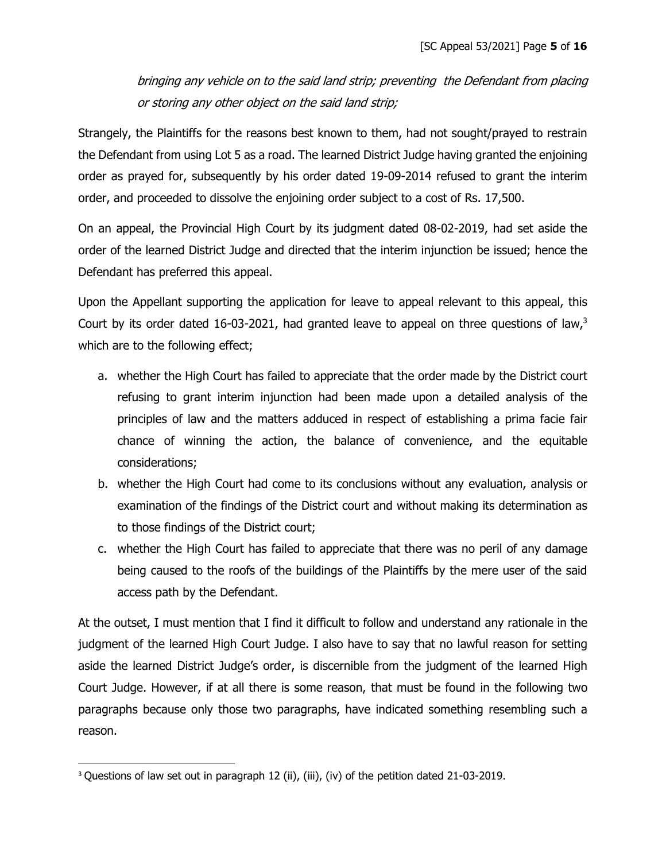bringing any vehicle on to the said land strip; preventing the Defendant from placing or storing any other object on the said land strip;

Strangely, the Plaintiffs for the reasons best known to them, had not sought/prayed to restrain the Defendant from using Lot 5 as a road. The learned District Judge having granted the enjoining order as prayed for, subsequently by his order dated 19-09-2014 refused to grant the interim order, and proceeded to dissolve the enjoining order subject to a cost of Rs. 17,500.

On an appeal, the Provincial High Court by its judgment dated 08-02-2019, had set aside the order of the learned District Judge and directed that the interim injunction be issued; hence the Defendant has preferred this appeal.

Upon the Appellant supporting the application for leave to appeal relevant to this appeal, this Court by its order dated 16-03-2021, had granted leave to appeal on three questions of law,<sup>3</sup> which are to the following effect;

- a. whether the High Court has failed to appreciate that the order made by the District court refusing to grant interim injunction had been made upon a detailed analysis of the principles of law and the matters adduced in respect of establishing a prima facie fair chance of winning the action, the balance of convenience, and the equitable considerations;
- b. whether the High Court had come to its conclusions without any evaluation, analysis or examination of the findings of the District court and without making its determination as to those findings of the District court;
- c. whether the High Court has failed to appreciate that there was no peril of any damage being caused to the roofs of the buildings of the Plaintiffs by the mere user of the said access path by the Defendant.

At the outset, I must mention that I find it difficult to follow and understand any rationale in the judgment of the learned High Court Judge. I also have to say that no lawful reason for setting aside the learned District Judge's order, is discernible from the judgment of the learned High Court Judge. However, if at all there is some reason, that must be found in the following two paragraphs because only those two paragraphs, have indicated something resembling such a reason.

<sup>&</sup>lt;sup>3</sup> Questions of law set out in paragraph 12 (ii), (iii), (iv) of the petition dated 21-03-2019.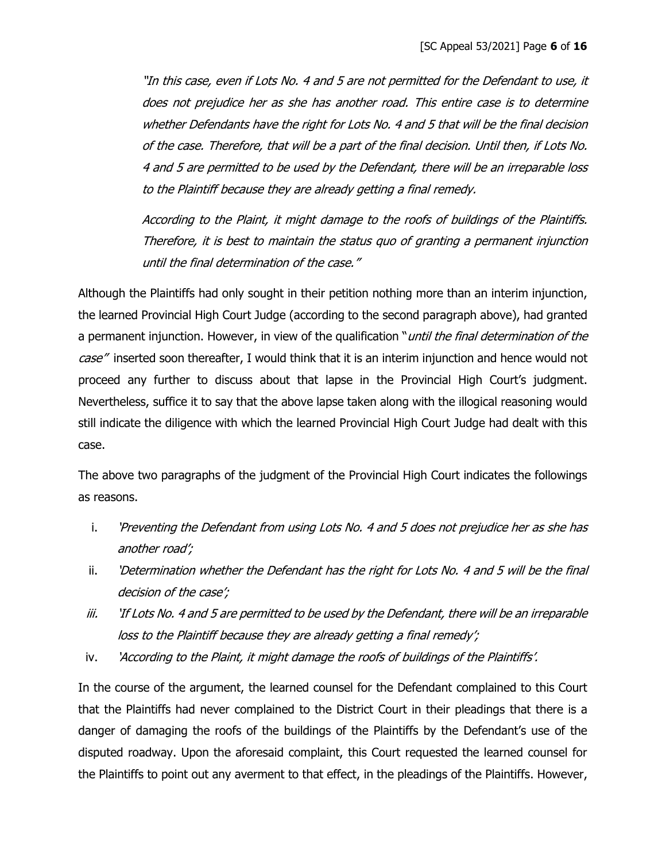"In this case, even if Lots No. 4 and 5 are not permitted for the Defendant to use, it does not prejudice her as she has another road. This entire case is to determine whether Defendants have the right for Lots No. 4 and 5 that will be the final decision of the case. Therefore, that will be a part of the final decision. Until then, if Lots No. 4 and 5 are permitted to be used by the Defendant, there will be an irreparable loss to the Plaintiff because they are already getting a final remedy.

According to the Plaint, it might damage to the roofs of buildings of the Plaintiffs. Therefore, it is best to maintain the status quo of granting a permanent injunction until the final determination of the case."

Although the Plaintiffs had only sought in their petition nothing more than an interim injunction, the learned Provincial High Court Judge (according to the second paragraph above), had granted a permanent injunction. However, in view of the qualification "*until the final determination of the* case" inserted soon thereafter, I would think that it is an interim injunction and hence would not proceed any further to discuss about that lapse in the Provincial High Court's judgment. Nevertheless, suffice it to say that the above lapse taken along with the illogical reasoning would still indicate the diligence with which the learned Provincial High Court Judge had dealt with this case.

The above two paragraphs of the judgment of the Provincial High Court indicates the followings as reasons.

- i. 'Preventing the Defendant from using Lots No. 4 and 5 does not prejudice her as she has another road';
- ii. 'Determination whether the Defendant has the right for Lots No. 4 and 5 will be the final decision of the case';
- iii. 'If Lots No. 4 and 5 are permitted to be used by the Defendant, there will be an irreparable loss to the Plaintiff because they are already getting a final remedy';
- iv. 'According to the Plaint, it might damage the roofs of buildings of the Plaintiffs'.

In the course of the argument, the learned counsel for the Defendant complained to this Court that the Plaintiffs had never complained to the District Court in their pleadings that there is a danger of damaging the roofs of the buildings of the Plaintiffs by the Defendant's use of the disputed roadway. Upon the aforesaid complaint, this Court requested the learned counsel for the Plaintiffs to point out any averment to that effect, in the pleadings of the Plaintiffs. However,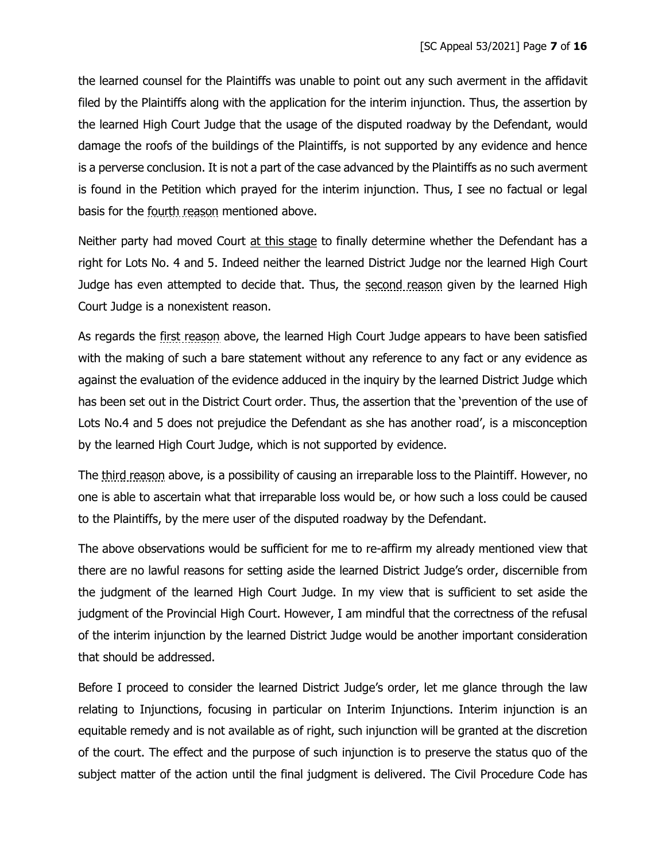the learned counsel for the Plaintiffs was unable to point out any such averment in the affidavit filed by the Plaintiffs along with the application for the interim injunction. Thus, the assertion by the learned High Court Judge that the usage of the disputed roadway by the Defendant, would damage the roofs of the buildings of the Plaintiffs, is not supported by any evidence and hence is a perverse conclusion. It is not a part of the case advanced by the Plaintiffs as no such averment is found in the Petition which prayed for the interim injunction. Thus, I see no factual or legal basis for the fourth reason mentioned above.

Neither party had moved Court at this stage to finally determine whether the Defendant has a right for Lots No. 4 and 5. Indeed neither the learned District Judge nor the learned High Court Judge has even attempted to decide that. Thus, the second reason given by the learned High Court Judge is a nonexistent reason.

As regards the first reason above, the learned High Court Judge appears to have been satisfied with the making of such a bare statement without any reference to any fact or any evidence as against the evaluation of the evidence adduced in the inquiry by the learned District Judge which has been set out in the District Court order. Thus, the assertion that the 'prevention of the use of Lots No.4 and 5 does not prejudice the Defendant as she has another road', is a misconception by the learned High Court Judge, which is not supported by evidence.

The third reason above, is a possibility of causing an irreparable loss to the Plaintiff. However, no one is able to ascertain what that irreparable loss would be, or how such a loss could be caused to the Plaintiffs, by the mere user of the disputed roadway by the Defendant.

The above observations would be sufficient for me to re-affirm my already mentioned view that there are no lawful reasons for setting aside the learned District Judge's order, discernible from the judgment of the learned High Court Judge. In my view that is sufficient to set aside the judgment of the Provincial High Court. However, I am mindful that the correctness of the refusal of the interim injunction by the learned District Judge would be another important consideration that should be addressed.

Before I proceed to consider the learned District Judge's order, let me glance through the law relating to Injunctions, focusing in particular on Interim Injunctions. Interim injunction is an equitable remedy and is not available as of right, such injunction will be granted at the discretion of the court. The effect and the purpose of such injunction is to preserve the status quo of the subject matter of the action until the final judgment is delivered. The Civil Procedure Code has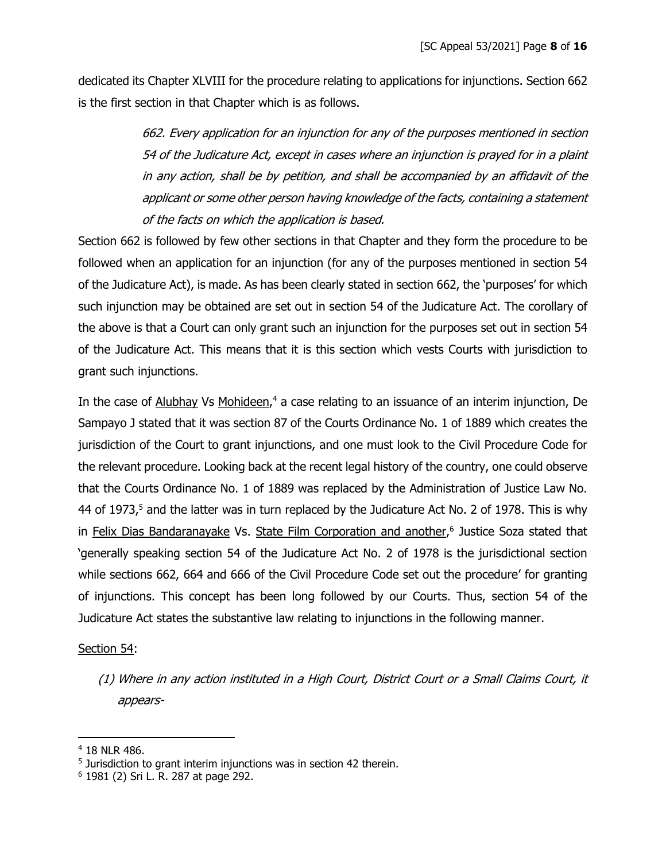dedicated its Chapter XLVIII for the procedure relating to applications for injunctions. Section 662 is the first section in that Chapter which is as follows.

> 662. Every application for an injunction for any of the purposes mentioned in section 54 of the Judicature Act, except in cases where an injunction is prayed for in a plaint in any action, shall be by petition, and shall be accompanied by an affidavit of the applicant or some other person having knowledge of the facts, containing a statement of the facts on which the application is based.

Section 662 is followed by few other sections in that Chapter and they form the procedure to be followed when an application for an injunction (for any of the purposes mentioned in section 54 of the Judicature Act), is made. As has been clearly stated in section 662, the 'purposes' for which such injunction may be obtained are set out in section 54 of the Judicature Act. The corollary of the above is that a Court can only grant such an injunction for the purposes set out in section 54 of the Judicature Act. This means that it is this section which vests Courts with jurisdiction to grant such injunctions.

In the case of Alubhay Vs Mohideen,<sup>4</sup> a case relating to an issuance of an interim injunction, De Sampayo J stated that it was section 87 of the Courts Ordinance No. 1 of 1889 which creates the jurisdiction of the Court to grant injunctions, and one must look to the Civil Procedure Code for the relevant procedure. Looking back at the recent legal history of the country, one could observe that the Courts Ordinance No. 1 of 1889 was replaced by the Administration of Justice Law No. 44 of 1973,<sup>5</sup> and the latter was in turn replaced by the Judicature Act No. 2 of 1978. This is why in Felix Dias Bandaranayake Vs. State Film Corporation and another,<sup>6</sup> Justice Soza stated that 'generally speaking section 54 of the Judicature Act No. 2 of 1978 is the jurisdictional section while sections 662, 664 and 666 of the Civil Procedure Code set out the procedure' for granting of injunctions. This concept has been long followed by our Courts. Thus, section 54 of the Judicature Act states the substantive law relating to injunctions in the following manner.

# Section 54:

(1) Where in any action instituted in a High Court, District Court or a Small Claims Court, it appears-

<sup>4</sup> 18 NLR 486.

<sup>&</sup>lt;sup>5</sup> Jurisdiction to grant interim injunctions was in section 42 therein.

<sup>6</sup> 1981 (2) Sri L. R. 287 at page 292.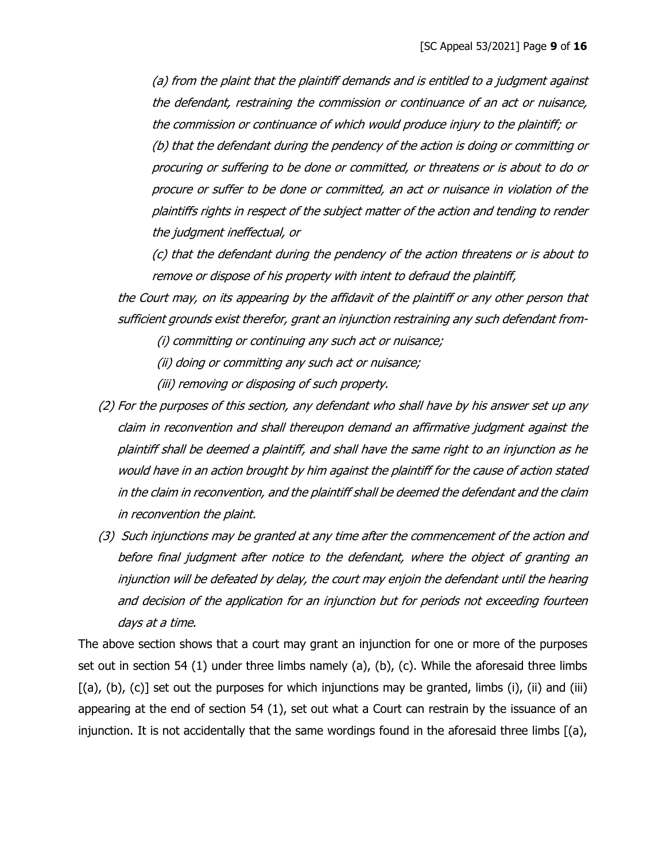(a) from the plaint that the plaintiff demands and is entitled to a judgment against the defendant, restraining the commission or continuance of an act or nuisance, the commission or continuance of which would produce injury to the plaintiff; or (b) that the defendant during the pendency of the action is doing or committing or procuring or suffering to be done or committed, or threatens or is about to do or procure or suffer to be done or committed, an act or nuisance in violation of the plaintiffs rights in respect of the subject matter of the action and tending to render the judgment ineffectual, or

(c) that the defendant during the pendency of the action threatens or is about to remove or dispose of his property with intent to defraud the plaintiff,

the Court may, on its appearing by the affidavit of the plaintiff or any other person that sufficient grounds exist therefor, grant an injunction restraining any such defendant from-

(i) committing or continuing any such act or nuisance;

(ii) doing or committing any such act or nuisance;

(iii) removing or disposing of such property.

- (2) For the purposes of this section, any defendant who shall have by his answer set up any claim in reconvention and shall thereupon demand an affirmative judgment against the plaintiff shall be deemed a plaintiff, and shall have the same right to an injunction as he would have in an action brought by him against the plaintiff for the cause of action stated in the claim in reconvention, and the plaintiff shall be deemed the defendant and the claim in reconvention the plaint.
- (3) Such injunctions may be granted at any time after the commencement of the action and before final judgment after notice to the defendant, where the object of granting an injunction will be defeated by delay, the court may enjoin the defendant until the hearing and decision of the application for an injunction but for periods not exceeding fourteen days at a time.

The above section shows that a court may grant an injunction for one or more of the purposes set out in section 54 (1) under three limbs namely (a), (b), (c). While the aforesaid three limbs  $[(a), (b), (c)]$  set out the purposes for which injunctions may be granted, limbs  $(i)$ ,  $(ii)$  and  $(iii)$ appearing at the end of section 54 (1), set out what a Court can restrain by the issuance of an injunction. It is not accidentally that the same wordings found in the aforesaid three limbs [(a),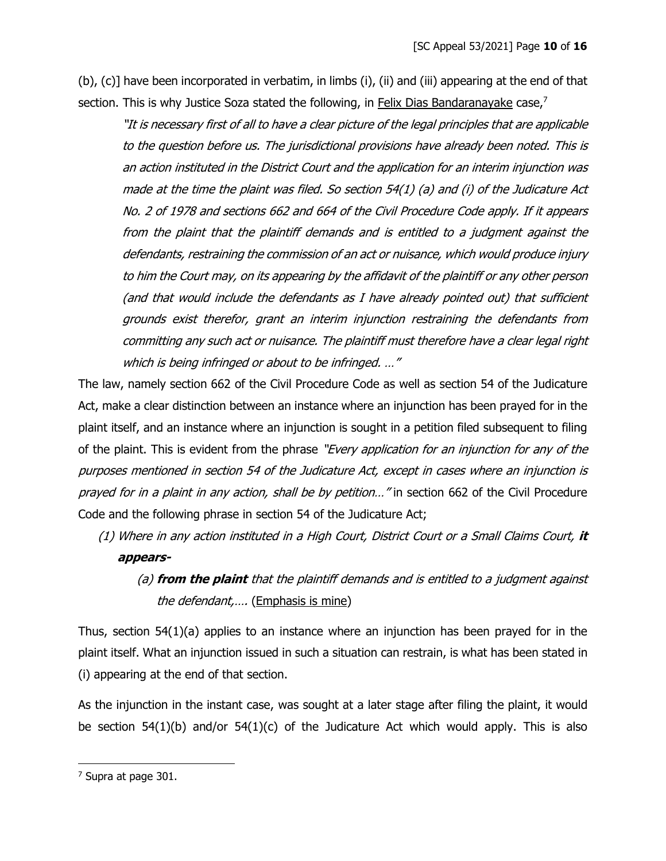(b), (c)] have been incorporated in verbatim, in limbs (i), (ii) and (iii) appearing at the end of that section. This is why Justice Soza stated the following, in Felix Dias Bandaranayake case,<sup>7</sup>

"It is necessary first of all to have a clear picture of the legal principles that are applicable to the question before us. The jurisdictional provisions have already been noted. This is an action instituted in the District Court and the application for an interim injunction was made at the time the plaint was filed. So section 54(1) (a) and (i) of the Judicature Act No. 2 of 1978 and sections 662 and 664 of the Civil Procedure Code apply. If it appears from the plaint that the plaintiff demands and is entitled to a judgment against the defendants, restraining the commission of an act or nuisance, which would produce injury to him the Court may, on its appearing by the affidavit of the plaintiff or any other person (and that would include the defendants as I have already pointed out) that sufficient grounds exist therefor, grant an interim injunction restraining the defendants from committing any such act or nuisance. The plaintiff must therefore have a clear legal right which is being infringed or about to be infringed. ..."

The law, namely section 662 of the Civil Procedure Code as well as section 54 of the Judicature Act, make a clear distinction between an instance where an injunction has been prayed for in the plaint itself, and an instance where an injunction is sought in a petition filed subsequent to filing of the plaint. This is evident from the phrase "*Every application for an injunction for any of the* purposes mentioned in section 54 of the Judicature Act, except in cases where an injunction is prayed for in a plaint in any action, shall be by petition..." in section 662 of the Civil Procedure Code and the following phrase in section 54 of the Judicature Act;

- (1) Where in any action instituted in a High Court, District Court or a Small Claims Court, **it appears-**
	- (a) **from the plaint** that the plaintiff demands and is entitled to a judgment against the defendant,.... (Emphasis is mine)

Thus, section 54(1)(a) applies to an instance where an injunction has been prayed for in the plaint itself. What an injunction issued in such a situation can restrain, is what has been stated in (i) appearing at the end of that section.

As the injunction in the instant case, was sought at a later stage after filing the plaint, it would be section 54(1)(b) and/or 54(1)(c) of the Judicature Act which would apply. This is also

<sup>7</sup> Supra at page 301.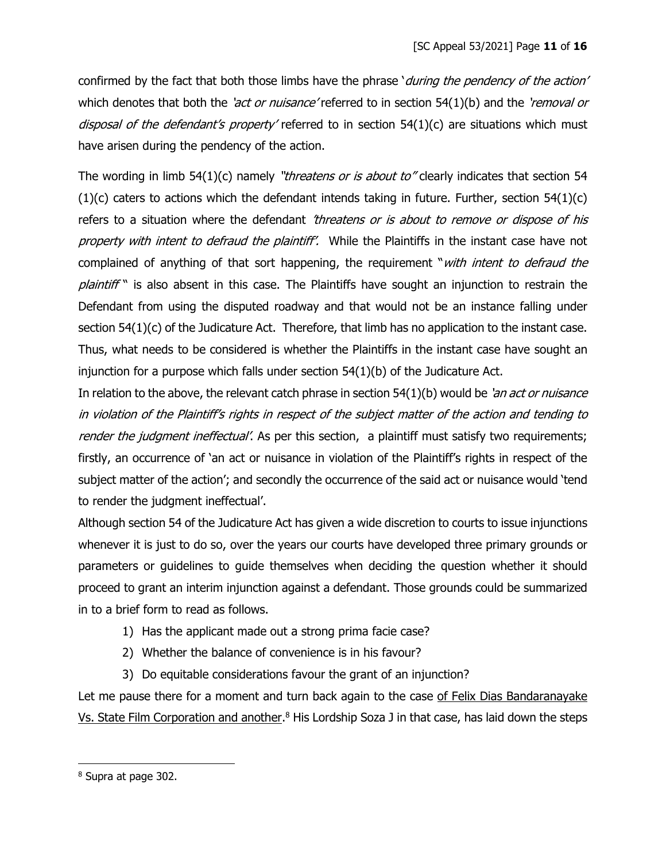confirmed by the fact that both those limbs have the phrase 'during the pendency of the action' which denotes that both the 'act or nuisance' referred to in section  $54(1)(b)$  and the 'removal or disposal of the defendant's property' referred to in section 54(1)(c) are situations which must have arisen during the pendency of the action.

The wording in limb  $54(1)(c)$  namely "*threatens or is about to*" clearly indicates that section 54  $(1)(c)$  caters to actions which the defendant intends taking in future. Further, section 54 $(1)(c)$ refers to a situation where the defendant 'threatens or is about to remove or dispose of his property with intent to defraud the plaintiff'. While the Plaintiffs in the instant case have not complained of anything of that sort happening, the requirement "with intent to defraud the plaintiff" is also absent in this case. The Plaintiffs have sought an injunction to restrain the Defendant from using the disputed roadway and that would not be an instance falling under section 54(1)(c) of the Judicature Act. Therefore, that limb has no application to the instant case. Thus, what needs to be considered is whether the Plaintiffs in the instant case have sought an injunction for a purpose which falls under section  $54(1)(b)$  of the Judicature Act.

In relation to the above, the relevant catch phrase in section  $54(1)(b)$  would be 'an act or nuisance in violation of the Plaintiff's rights in respect of the subject matter of the action and tending to render the judgment ineffectual'. As per this section, a plaintiff must satisfy two requirements; firstly, an occurrence of 'an act or nuisance in violation of the Plaintiff's rights in respect of the subject matter of the action'; and secondly the occurrence of the said act or nuisance would 'tend to render the judgment ineffectual'.

Although section 54 of the Judicature Act has given a wide discretion to courts to issue injunctions whenever it is just to do so, over the years our courts have developed three primary grounds or parameters or guidelines to guide themselves when deciding the question whether it should proceed to grant an interim injunction against a defendant. Those grounds could be summarized in to a brief form to read as follows.

- 1) Has the applicant made out a strong prima facie case?
- 2) Whether the balance of convenience is in his favour?
- 3) Do equitable considerations favour the grant of an injunction?

Let me pause there for a moment and turn back again to the case of Felix Dias Bandaranayake Vs. State Film Corporation and another.<sup>8</sup> His Lordship Soza J in that case, has laid down the steps

<sup>8</sup> Supra at page 302.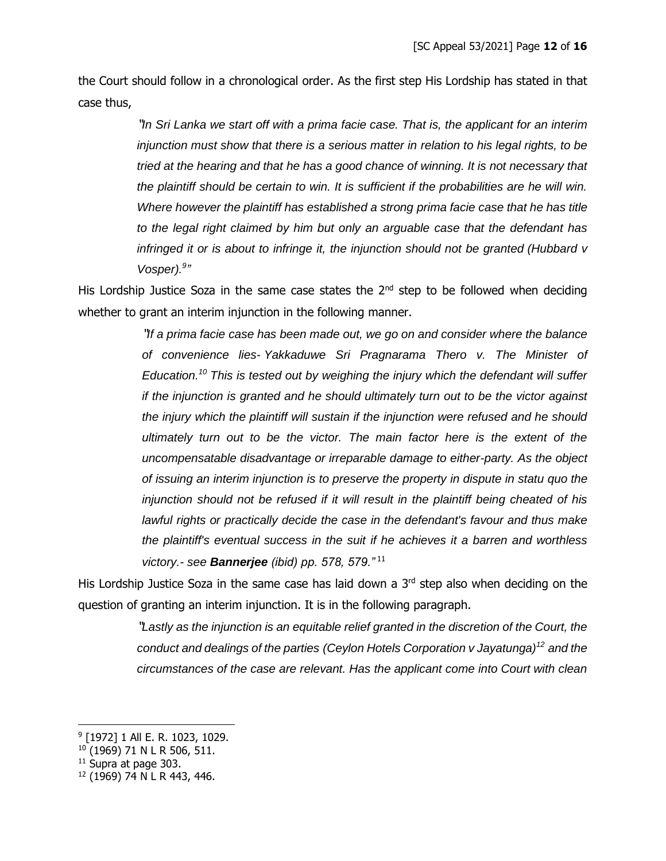the Court should follow in a chronological order. As the first step His Lordship has stated in that case thus,

> "*In Sri Lanka we start off with a prima facie case. That is, the applicant for an interim injunction must show that there is a serious matter in relation to his legal rights, to be tried at the hearing and that he has a good chance of winning. It is not necessary that the plaintiff should be certain to win. It is sufficient if the probabilities are he will win. Where however the plaintiff has established a strong prima facie case that he has title to the legal right claimed by him but only an arguable case that the defendant has infringed it or is about to infringe it, the injunction should not be granted (Hubbard v Vosper*).<sup>9</sup>

His Lordship Justice Soza in the same case states the 2<sup>nd</sup> step to be followed when deciding whether to grant an interim injunction in the following manner.

> "*If a prima facie case has been made out, we go on and consider where the balance of convenience lies- Yakkaduwe Sri Pragnarama Thero v. The Minister of Education. <sup>10</sup> This is tested out by weighing the injury which the defendant will suffer if the injunction is granted and he should ultimately turn out to be the victor against the injury which the plaintiff will sustain if the injunction were refused and he should ultimately turn out to be the victor. The main factor here is the extent of the uncompensatable disadvantage or irreparable damage to either-party. As the object of issuing an interim injunction is to preserve the property in dispute in statu quo the injunction should not be refused if it will result in the plaintiff being cheated of his lawful rights or practically decide the case in the defendant's favour and thus make the plaintiff's eventual success in the suit if he achieves it a barren and worthless victory.- see Bannerjee (ibid) pp. 578, 579."* <sup>11</sup>

His Lordship Justice Soza in the same case has laid down a 3<sup>rd</sup> step also when deciding on the question of granting an interim injunction. It is in the following paragraph.

> "*Lastly as the injunction is an equitable relief granted in the discretion of the Court, the conduct and dealings of the parties (Ceylon Hotels Corporation v Jayatunga)<sup>12</sup> and the circumstances of the case are relevant. Has the applicant come into Court with clean*

<sup>&</sup>lt;sup>9</sup> [1972] 1 All E. R. 1023, 1029.

<sup>10</sup> (1969) 71 N L R 506, 511.

<sup>&</sup>lt;sup>11</sup> Supra at page 303.

<sup>12</sup> (1969) 74 N L R 443, 446.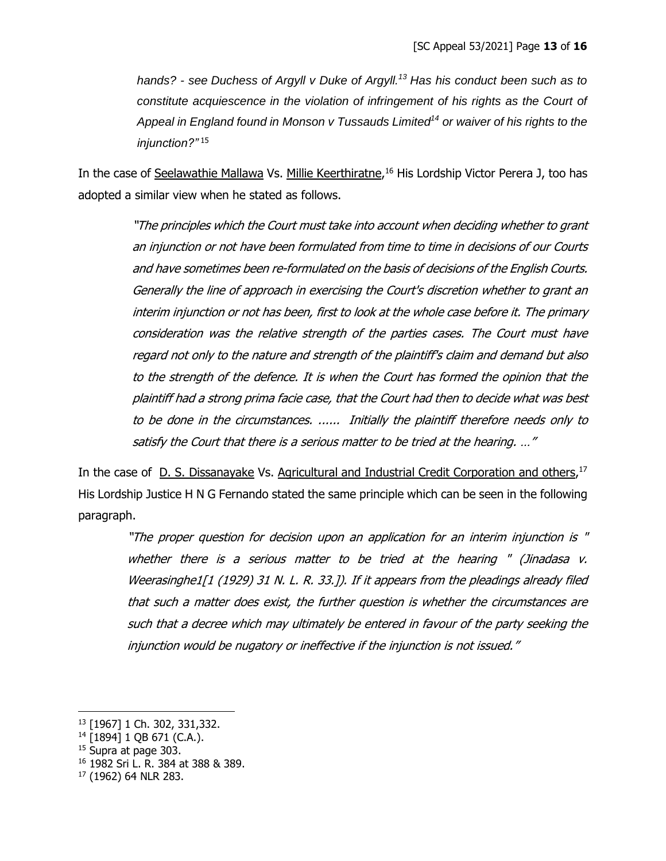*hands? - see Duchess of Argyll v Duke of Argyll.<sup>13</sup> Has his conduct been such as to constitute acquiescence in the violation of infringement of his rights as the Court of Appeal in England found in Monson v Tussauds Limited<sup>14</sup> or waiver of his rights to the injunction?"* <sup>15</sup>

In the case of Seelawathie Mallawa Vs. Millie Keerthiratne,<sup>16</sup> His Lordship Victor Perera J, too has adopted a similar view when he stated as follows.

> "The principles which the Court must take into account when deciding whether to grant an injunction or not have been formulated from time to time in decisions of our Courts and have sometimes been re-formulated on the basis of decisions of the English Courts. Generally the line of approach in exercising the Court's discretion whether to grant an interim injunction or not has been, first to look at the whole case before it. The primary consideration was the relative strength of the parties cases. The Court must have regard not only to the nature and strength of the plaintiff's claim and demand but also to the strength of the defence. It is when the Court has formed the opinion that the plaintiff had a strong prima facie case, that the Court had then to decide what was best to be done in the circumstances. ...... Initially the plaintiff therefore needs only to satisfy the Court that there is a serious matter to be tried at the hearing. …"

In the case of **D. S. Dissanayake Vs. Agricultural and Industrial Credit Corporation and others**,<sup>17</sup> His Lordship Justice H N G Fernando stated the same principle which can be seen in the following paragraph.

"The proper question for decision upon an application for an interim injunction is " whether there is a serious matter to be tried at the hearing " (Jinadasa v. Weerasinghe1[1 (1929) 31 N. L. R. 33.]). If it appears from the pleadings already filed that such a matter does exist, the further question is whether the circumstances are such that a decree which may ultimately be entered in favour of the party seeking the injunction would be nugatory or ineffective if the injunction is not issued."

<sup>13</sup> [1967] 1 Ch. 302, 331,332.

<sup>14</sup> [1894] 1 QB 671 (C.A.).

<sup>&</sup>lt;sup>15</sup> Supra at page 303.

<sup>16</sup> 1982 Sri L. R. 384 at 388 & 389.

<sup>17</sup> (1962) 64 NLR 283.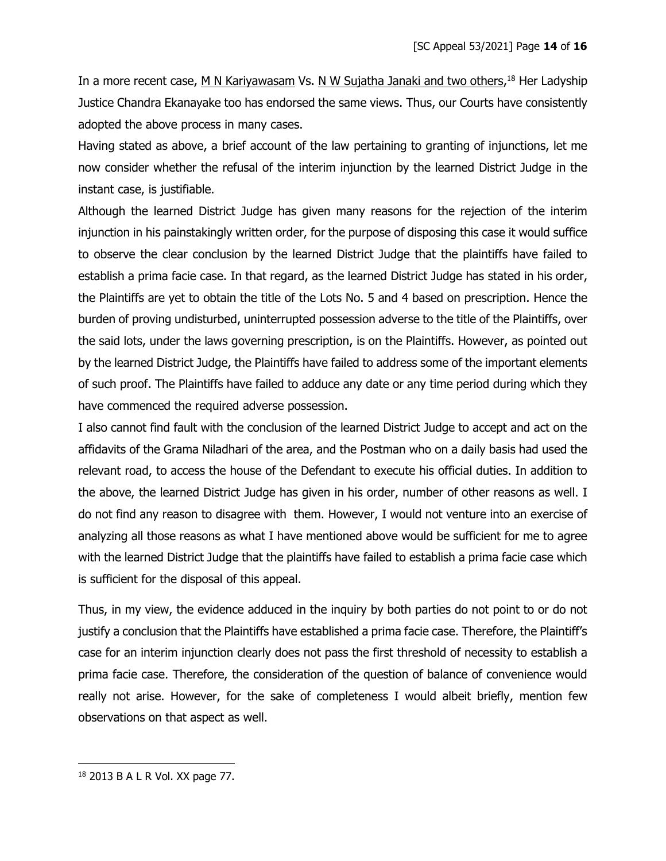In a more recent case, M N Kariyawasam Vs. N W Sujatha Janaki and two others,<sup>18</sup> Her Ladyship Justice Chandra Ekanayake too has endorsed the same views. Thus, our Courts have consistently adopted the above process in many cases.

Having stated as above, a brief account of the law pertaining to granting of injunctions, let me now consider whether the refusal of the interim injunction by the learned District Judge in the instant case, is justifiable.

Although the learned District Judge has given many reasons for the rejection of the interim injunction in his painstakingly written order, for the purpose of disposing this case it would suffice to observe the clear conclusion by the learned District Judge that the plaintiffs have failed to establish a prima facie case. In that regard, as the learned District Judge has stated in his order, the Plaintiffs are yet to obtain the title of the Lots No. 5 and 4 based on prescription. Hence the burden of proving undisturbed, uninterrupted possession adverse to the title of the Plaintiffs, over the said lots, under the laws governing prescription, is on the Plaintiffs. However, as pointed out by the learned District Judge, the Plaintiffs have failed to address some of the important elements of such proof. The Plaintiffs have failed to adduce any date or any time period during which they have commenced the required adverse possession.

I also cannot find fault with the conclusion of the learned District Judge to accept and act on the affidavits of the Grama Niladhari of the area, and the Postman who on a daily basis had used the relevant road, to access the house of the Defendant to execute his official duties. In addition to the above, the learned District Judge has given in his order, number of other reasons as well. I do not find any reason to disagree with them. However, I would not venture into an exercise of analyzing all those reasons as what I have mentioned above would be sufficient for me to agree with the learned District Judge that the plaintiffs have failed to establish a prima facie case which is sufficient for the disposal of this appeal.

Thus, in my view, the evidence adduced in the inquiry by both parties do not point to or do not justify a conclusion that the Plaintiffs have established a prima facie case. Therefore, the Plaintiff's case for an interim injunction clearly does not pass the first threshold of necessity to establish a prima facie case. Therefore, the consideration of the question of balance of convenience would really not arise. However, for the sake of completeness I would albeit briefly, mention few observations on that aspect as well.

<sup>18</sup> 2013 B A L R Vol. XX page 77.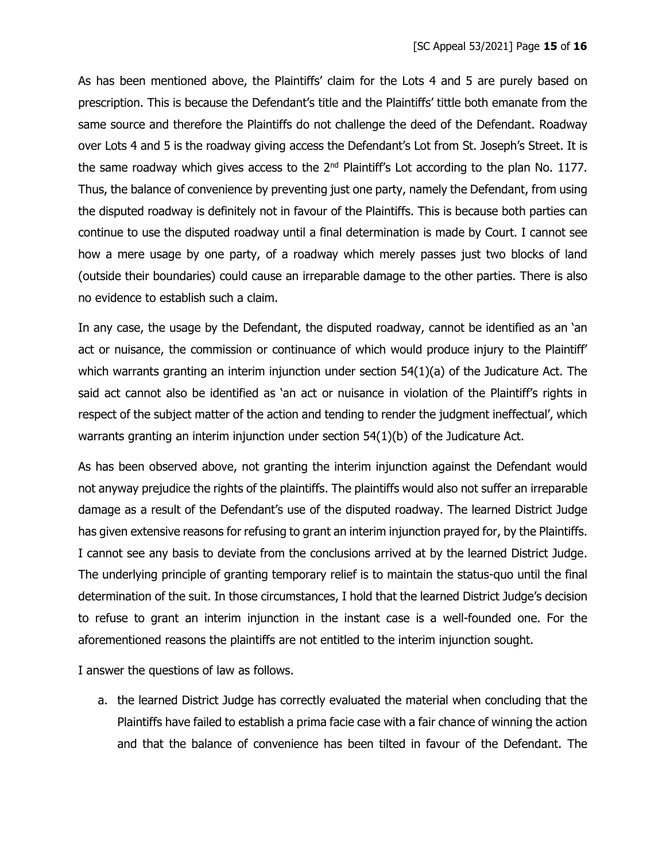As has been mentioned above, the Plaintiffs' claim for the Lots 4 and 5 are purely based on prescription. This is because the Defendant's title and the Plaintiffs' tittle both emanate from the same source and therefore the Plaintiffs do not challenge the deed of the Defendant. Roadway over Lots 4 and 5 is the roadway giving access the Defendant's Lot from St. Joseph's Street. It is the same roadway which gives access to the  $2<sup>nd</sup>$  Plaintiff's Lot according to the plan No. 1177. Thus, the balance of convenience by preventing just one party, namely the Defendant, from using the disputed roadway is definitely not in favour of the Plaintiffs. This is because both parties can continue to use the disputed roadway until a final determination is made by Court. I cannot see how a mere usage by one party, of a roadway which merely passes just two blocks of land (outside their boundaries) could cause an irreparable damage to the other parties. There is also no evidence to establish such a claim.

In any case, the usage by the Defendant, the disputed roadway, cannot be identified as an 'an act or nuisance, the commission or continuance of which would produce injury to the Plaintiff' which warrants granting an interim injunction under section 54(1)(a) of the Judicature Act. The said act cannot also be identified as 'an act or nuisance in violation of the Plaintiff's rights in respect of the subject matter of the action and tending to render the judgment ineffectual', which warrants granting an interim injunction under section 54(1)(b) of the Judicature Act.

As has been observed above, not granting the interim injunction against the Defendant would not anyway prejudice the rights of the plaintiffs. The plaintiffs would also not suffer an irreparable damage as a result of the Defendant's use of the disputed roadway. The learned District Judge has given extensive reasons for refusing to grant an interim injunction prayed for, by the Plaintiffs. I cannot see any basis to deviate from the conclusions arrived at by the learned District Judge. The underlying principle of granting temporary relief is to maintain the status-quo until the final determination of the suit. In those circumstances, I hold that the learned District Judge's decision to refuse to grant an interim injunction in the instant case is a well-founded one. For the aforementioned reasons the plaintiffs are not entitled to the interim injunction sought.

I answer the questions of law as follows.

a. the learned District Judge has correctly evaluated the material when concluding that the Plaintiffs have failed to establish a prima facie case with a fair chance of winning the action and that the balance of convenience has been tilted in favour of the Defendant. The